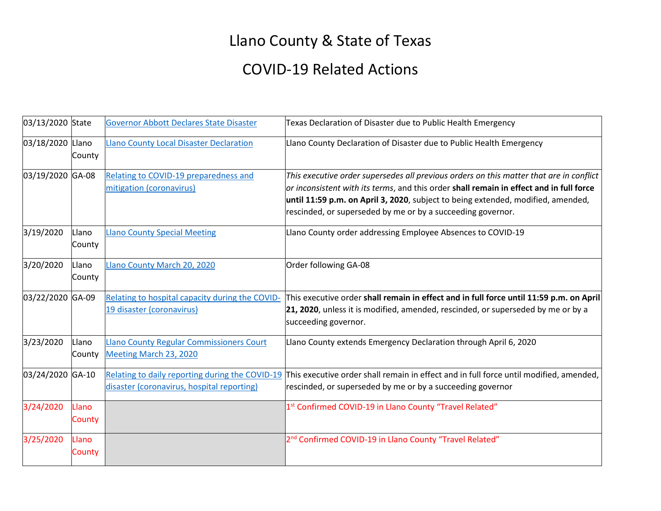## Llano County & State of Texas

## COVID-19 Related Actions

| 03/13/2020 State |                 | <b>Governor Abbott Declares State Disaster</b>                               | Texas Declaration of Disaster due to Public Health Emergency                                                                                                                                                                                                                                                                          |
|------------------|-----------------|------------------------------------------------------------------------------|---------------------------------------------------------------------------------------------------------------------------------------------------------------------------------------------------------------------------------------------------------------------------------------------------------------------------------------|
| 03/18/2020 Llano | County          | <b>Llano County Local Disaster Declaration</b>                               | Llano County Declaration of Disaster due to Public Health Emergency                                                                                                                                                                                                                                                                   |
| 03/19/2020 GA-08 |                 | Relating to COVID-19 preparedness and<br>mitigation (coronavirus)            | This executive order supersedes all previous orders on this matter that are in conflict<br>or inconsistent with its terms, and this order shall remain in effect and in full force<br>until 11:59 p.m. on April 3, 2020, subject to being extended, modified, amended,<br>rescinded, or superseded by me or by a succeeding governor. |
| 3/19/2020        | Llano<br>County | <b>Llano County Special Meeting</b>                                          | Llano County order addressing Employee Absences to COVID-19                                                                                                                                                                                                                                                                           |
| 3/20/2020        | Llano<br>County | Llano County March 20, 2020                                                  | Order following GA-08                                                                                                                                                                                                                                                                                                                 |
| 03/22/2020 GA-09 |                 | Relating to hospital capacity during the COVID-<br>19 disaster (coronavirus) | This executive order shall remain in effect and in full force until 11:59 p.m. on April<br>21, 2020, unless it is modified, amended, rescinded, or superseded by me or by a<br>succeeding governor.                                                                                                                                   |
| 3/23/2020        | Llano<br>County | <b>Llano County Regular Commissioners Court</b><br>Meeting March 23, 2020    | Llano County extends Emergency Declaration through April 6, 2020                                                                                                                                                                                                                                                                      |
| 03/24/2020 GA-10 |                 | disaster (coronavirus, hospital reporting)                                   | Relating to daily reporting during the COVID-19 This executive order shall remain in effect and in full force until modified, amended,<br>rescinded, or superseded by me or by a succeeding governor                                                                                                                                  |
| 3/24/2020        | Llano<br>County |                                                                              | 1st Confirmed COVID-19 in Llano County "Travel Related"                                                                                                                                                                                                                                                                               |
| 3/25/2020        | Llano<br>County |                                                                              | 2 <sup>nd</sup> Confirmed COVID-19 in Llano County "Travel Related"                                                                                                                                                                                                                                                                   |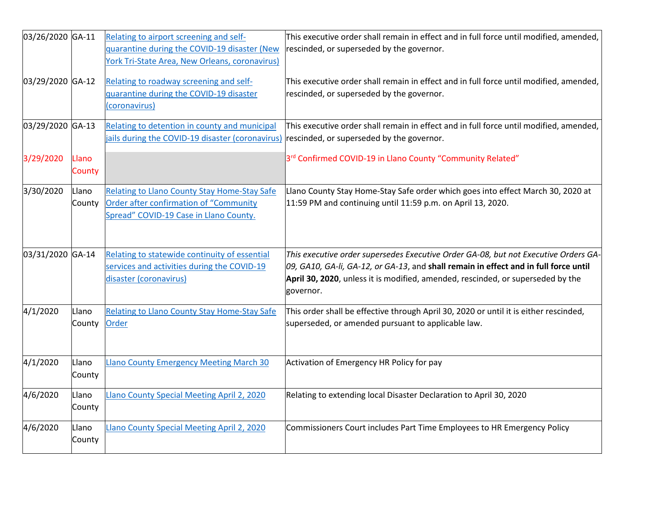| 03/26/2020 GA-11 |                 | Relating to airport screening and self-<br>quarantine during the COVID-19 disaster (New<br>York Tri-State Area, New Orleans, coronavirus) | This executive order shall remain in effect and in full force until modified, amended,<br>rescinded, or superseded by the governor.                                                                                                                                            |
|------------------|-----------------|-------------------------------------------------------------------------------------------------------------------------------------------|--------------------------------------------------------------------------------------------------------------------------------------------------------------------------------------------------------------------------------------------------------------------------------|
| 03/29/2020 GA-12 |                 | Relating to roadway screening and self-<br>quarantine during the COVID-19 disaster<br>(coronavirus)                                       | This executive order shall remain in effect and in full force until modified, amended,<br>rescinded, or superseded by the governor.                                                                                                                                            |
| 03/29/2020 GA-13 |                 | Relating to detention in county and municipal<br>jails during the COVID-19 disaster (coronavirus)                                         | This executive order shall remain in effect and in full force until modified, amended,<br>rescinded, or superseded by the governor.                                                                                                                                            |
| 3/29/2020        | Llano<br>County |                                                                                                                                           | 3rd Confirmed COVID-19 in Llano County "Community Related"                                                                                                                                                                                                                     |
| 3/30/2020        | Llano<br>County | Relating to Llano County Stay Home-Stay Safe<br>Order after confirmation of "Community<br>Spread" COVID-19 Case in Llano County.          | Llano County Stay Home-Stay Safe order which goes into effect March 30, 2020 at<br>11:59 PM and continuing until 11:59 p.m. on April 13, 2020.                                                                                                                                 |
| 03/31/2020 GA-14 |                 | Relating to statewide continuity of essential<br>services and activities during the COVID-19<br>disaster (coronavirus)                    | This executive order supersedes Executive Order GA-08, but not Executive Orders GA-<br>$[09, GA10, GA-Ii, GA-12, or GA-13, and shall remain in effect and in full force until$<br>April 30, 2020, unless it is modified, amended, rescinded, or superseded by the<br>governor. |
| 4/1/2020         | Llano<br>County | Relating to Llano County Stay Home-Stay Safe<br>Order                                                                                     | This order shall be effective through April 30, 2020 or until it is either rescinded,<br>superseded, or amended pursuant to applicable law.                                                                                                                                    |
| 4/1/2020         | Llano<br>County | <b>Llano County Emergency Meeting March 30</b>                                                                                            | Activation of Emergency HR Policy for pay                                                                                                                                                                                                                                      |
| 4/6/2020         | Llano<br>County | Llano County Special Meeting April 2, 2020                                                                                                | Relating to extending local Disaster Declaration to April 30, 2020                                                                                                                                                                                                             |
| 4/6/2020         | Llano<br>County | Llano County Special Meeting April 2, 2020                                                                                                | Commissioners Court includes Part Time Employees to HR Emergency Policy                                                                                                                                                                                                        |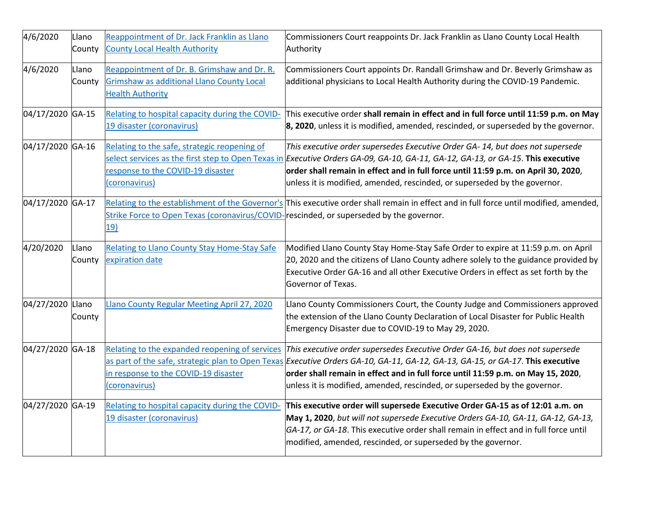| 4/6/2020         | Llano<br>County | Reappointment of Dr. Jack Franklin as Llano<br><b>County Local Health Authority</b>                                        | Commissioners Court reappoints Dr. Jack Franklin as Llano County Local Health<br>Authority                                                                                                                                                                                                                                                                                           |
|------------------|-----------------|----------------------------------------------------------------------------------------------------------------------------|--------------------------------------------------------------------------------------------------------------------------------------------------------------------------------------------------------------------------------------------------------------------------------------------------------------------------------------------------------------------------------------|
| 4/6/2020         | Llano<br>County | Reappointment of Dr. B. Grimshaw and Dr. R.<br><b>Grimshaw as additional Llano County Local</b><br><b>Health Authority</b> | Commissioners Court appoints Dr. Randall Grimshaw and Dr. Beverly Grimshaw as<br>additional physicians to Local Health Authority during the COVID-19 Pandemic.                                                                                                                                                                                                                       |
| 04/17/2020 GA-15 |                 | Relating to hospital capacity during the COVID-<br>19 disaster (coronavirus)                                               | This executive order shall remain in effect and in full force until 11:59 p.m. on May<br>$\vert$ 8, 2020, unless it is modified, amended, rescinded, or superseded by the governor.                                                                                                                                                                                                  |
| 04/17/2020 GA-16 |                 | Relating to the safe, strategic reopening of<br>response to the COVID-19 disaster<br>(coronavirus)                         | This executive order supersedes Executive Order GA- 14, but does not supersede<br>select services as the first step to Open Texas in Executive Orders GA-09, GA-10, GA-11, GA-12, GA-13, or GA-15. This executive<br>order shall remain in effect and in full force until 11:59 p.m. on April 30, 2020,<br>unless it is modified, amended, rescinded, or superseded by the governor. |
| 04/17/2020 GA-17 |                 | Strike Force to Open Texas (coronavirus/COVID-rescinded, or superseded by the governor.<br>19)                             | Relating to the establishment of the Governor's This executive order shall remain in effect and in full force until modified, amended,                                                                                                                                                                                                                                               |
| 4/20/2020        | Llano<br>County | Relating to Llano County Stay Home-Stay Safe<br>expiration date                                                            | Modified Llano County Stay Home-Stay Safe Order to expire at 11:59 p.m. on April<br>20, 2020 and the citizens of Llano County adhere solely to the guidance provided by<br>Executive Order GA-16 and all other Executive Orders in effect as set forth by the<br>Governor of Texas.                                                                                                  |
| 04/27/2020 Llano | County          | Llano County Regular Meeting April 27, 2020                                                                                | Llano County Commissioners Court, the County Judge and Commissioners approved<br>the extension of the Llano County Declaration of Local Disaster for Public Health<br>Emergency Disaster due to COVID-19 to May 29, 2020.                                                                                                                                                            |
| 04/27/2020 GA-18 |                 | Relating to the expanded reopening of services<br>in response to the COVID-19 disaster<br>(coronavirus)                    | This executive order supersedes Executive Order GA-16, but does not supersede<br>as part of the safe, strategic plan to Open Texas Executive Orders GA-10, GA-11, GA-12, GA-13, GA-15, or GA-17. This executive<br>order shall remain in effect and in full force until 11:59 p.m. on May 15, 2020,<br>unless it is modified, amended, rescinded, or superseded by the governor.     |
| 04/27/2020 GA-19 |                 | Relating to hospital capacity during the COVID-<br>19 disaster (coronavirus)                                               | This executive order will supersede Executive Order GA-15 as of 12:01 a.m. on<br>May 1, 2020, but will not supersede Executive Orders GA-10, GA-11, GA-12, GA-13,<br>GA-17, or GA-18. This executive order shall remain in effect and in full force until<br>modified, amended, rescinded, or superseded by the governor.                                                            |